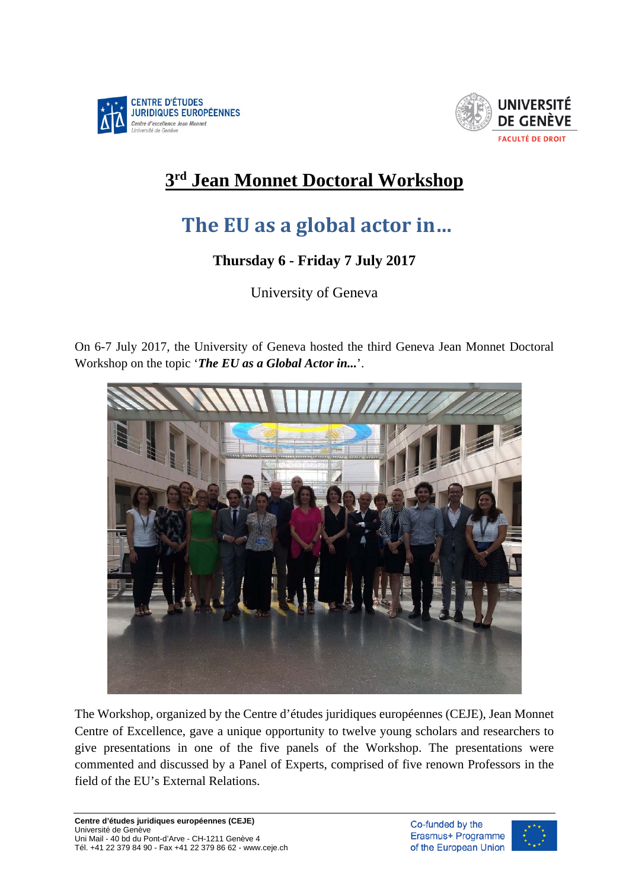



## **3rd Jean Monnet Doctoral Workshop**

## **The EU as a global actor in…**

## **Thursday 6 - Friday 7 July 2017**

University of Geneva

On 6-7 July 2017, the University of Geneva hosted the third Geneva Jean Monnet Doctoral Workshop on the topic '*The EU as a Global Actor in...*'.



The Workshop, organized by the Centre d'études juridiques européennes (CEJE), Jean Monnet Centre of Excellence, gave a unique opportunity to twelve young scholars and researchers to give presentations in one of the five panels of the Workshop. The presentations were commented and discussed by a Panel of Experts, comprised of five renown Professors in the field of the EU's External Relations.

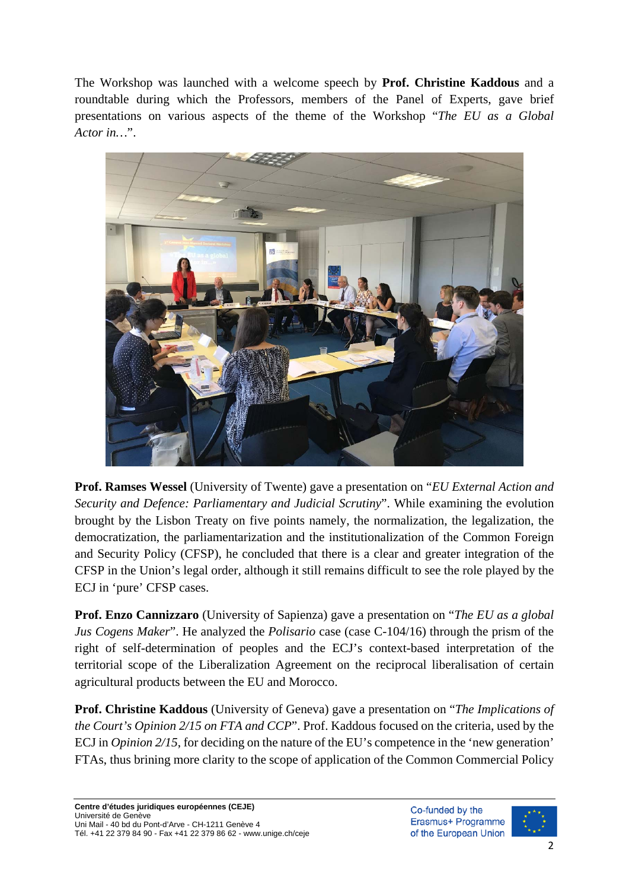The Workshop was launched with a welcome speech by **Prof. Christine Kaddous** and a roundtable during which the Professors, members of the Panel of Experts, gave brief presentations on various aspects of the theme of the Workshop "*The EU as a Global Actor in…*".



**Prof. Ramses Wessel** (University of Twente) gave a presentation on "*EU External Action and Security and Defence: Parliamentary and Judicial Scrutiny*". While examining the evolution brought by the Lisbon Treaty on five points namely, the normalization, the legalization, the democratization, the parliamentarization and the institutionalization of the Common Foreign and Security Policy (CFSP), he concluded that there is a clear and greater integration of the CFSP in the Union's legal order, although it still remains difficult to see the role played by the ECJ in 'pure' CFSP cases.

**Prof. Enzo Cannizzaro** (University of Sapienza) gave a presentation on "*The EU as a global Jus Cogens Maker*". He analyzed the *Polisario* case (case C-104/16) through the prism of the right of self-determination of peoples and the ECJ's context-based interpretation of the territorial scope of the Liberalization Agreement on the reciprocal liberalisation of certain agricultural products between the EU and Morocco.

**Prof. Christine Kaddous** (University of Geneva) gave a presentation on "*The Implications of the Court's Opinion 2/15 on FTA and CCP*". Prof. Kaddous focused on the criteria, used by the ECJ in *Opinion 2/15*, for deciding on the nature of the EU's competence in the 'new generation' FTAs, thus brining more clarity to the scope of application of the Common Commercial Policy

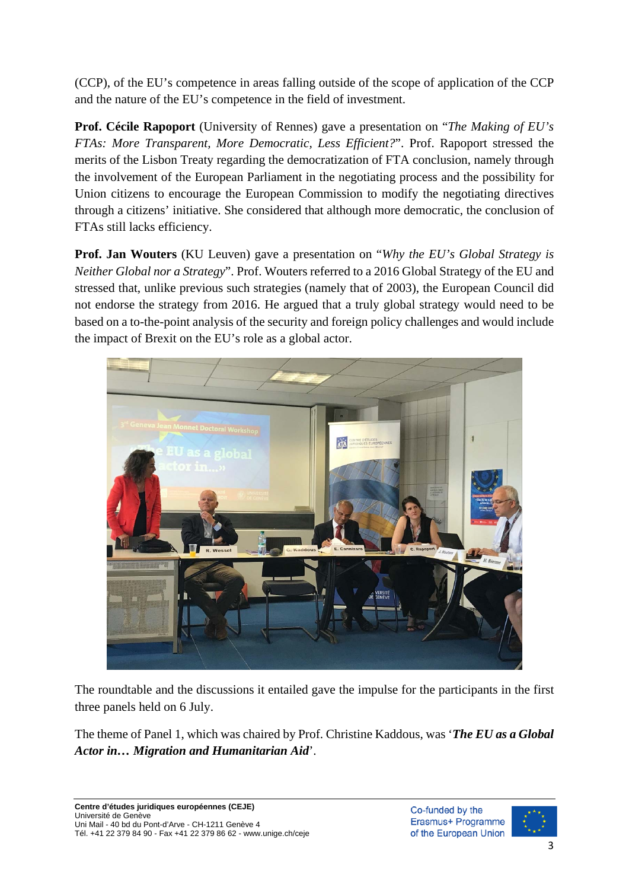(CCP), of the EU's competence in areas falling outside of the scope of application of the CCP and the nature of the EU's competence in the field of investment.

**Prof. Cécile Rapoport** (University of Rennes) gave a presentation on "*The Making of EU's FTAs: More Transparent, More Democratic, Less Efficient?*". Prof. Rapoport stressed the merits of the Lisbon Treaty regarding the democratization of FTA conclusion, namely through the involvement of the European Parliament in the negotiating process and the possibility for Union citizens to encourage the European Commission to modify the negotiating directives through a citizens' initiative. She considered that although more democratic, the conclusion of FTAs still lacks efficiency.

**Prof. Jan Wouters** (KU Leuven) gave a presentation on "*Why the EU's Global Strategy is Neither Global nor a Strategy*". Prof. Wouters referred to a 2016 Global Strategy of the EU and stressed that, unlike previous such strategies (namely that of 2003), the European Council did not endorse the strategy from 2016. He argued that a truly global strategy would need to be based on a to-the-point analysis of the security and foreign policy challenges and would include the impact of Brexit on the EU's role as a global actor.



The roundtable and the discussions it entailed gave the impulse for the participants in the first three panels held on 6 July.

The theme of Panel 1, which was chaired by Prof. Christine Kaddous, was '*The EU as a Global Actor in… Migration and Humanitarian Aid*'.

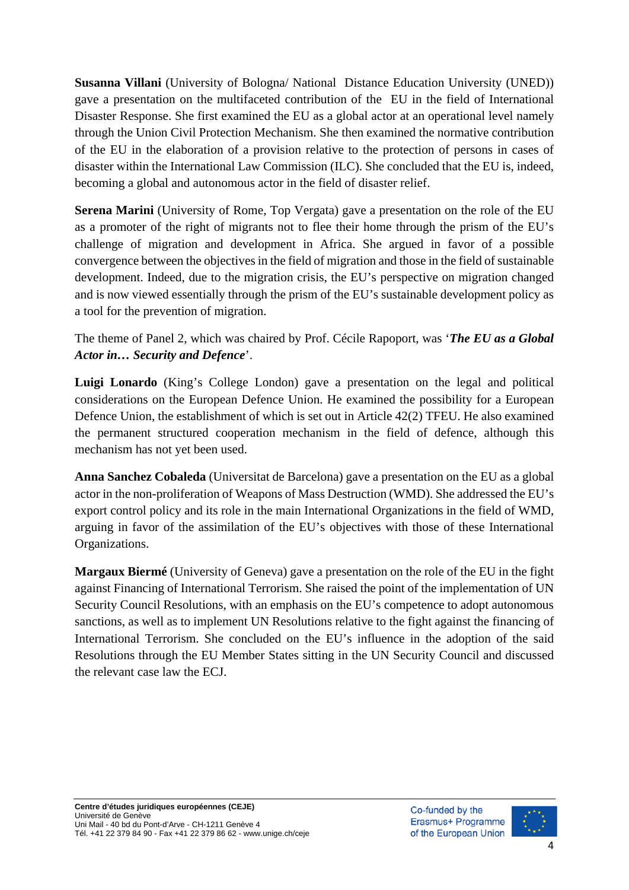**Susanna Villani** (University of Bologna/ National Distance Education University (UNED)) gave a presentation on the multifaceted contribution of the EU in the field of International Disaster Response. She first examined the EU as a global actor at an operational level namely through the Union Civil Protection Mechanism. She then examined the normative contribution of the EU in the elaboration of a provision relative to the protection of persons in cases of disaster within the International Law Commission (ILC). She concluded that the EU is, indeed, becoming a global and autonomous actor in the field of disaster relief.

**Serena Marini** (University of Rome, Top Vergata) gave a presentation on the role of the EU as a promoter of the right of migrants not to flee their home through the prism of the EU's challenge of migration and development in Africa. She argued in favor of a possible convergence between the objectives in the field of migration and those in the field of sustainable development. Indeed, due to the migration crisis, the EU's perspective on migration changed and is now viewed essentially through the prism of the EU's sustainable development policy as a tool for the prevention of migration.

The theme of Panel 2, which was chaired by Prof. Cécile Rapoport, was '*The EU as a Global Actor in… Security and Defence*'.

**Luigi Lonardo** (King's College London) gave a presentation on the legal and political considerations on the European Defence Union. He examined the possibility for a European Defence Union, the establishment of which is set out in Article 42(2) TFEU. He also examined the permanent structured cooperation mechanism in the field of defence, although this mechanism has not yet been used.

**Anna Sanchez Cobaleda** (Universitat de Barcelona) gave a presentation on the EU as a global actor in the non-proliferation of Weapons of Mass Destruction (WMD). She addressed the EU's export control policy and its role in the main International Organizations in the field of WMD, arguing in favor of the assimilation of the EU's objectives with those of these International Organizations.

**Margaux Biermé** (University of Geneva) gave a presentation on the role of the EU in the fight against Financing of International Terrorism. She raised the point of the implementation of UN Security Council Resolutions, with an emphasis on the EU's competence to adopt autonomous sanctions, as well as to implement UN Resolutions relative to the fight against the financing of International Terrorism. She concluded on the EU's influence in the adoption of the said Resolutions through the EU Member States sitting in the UN Security Council and discussed the relevant case law the ECJ.

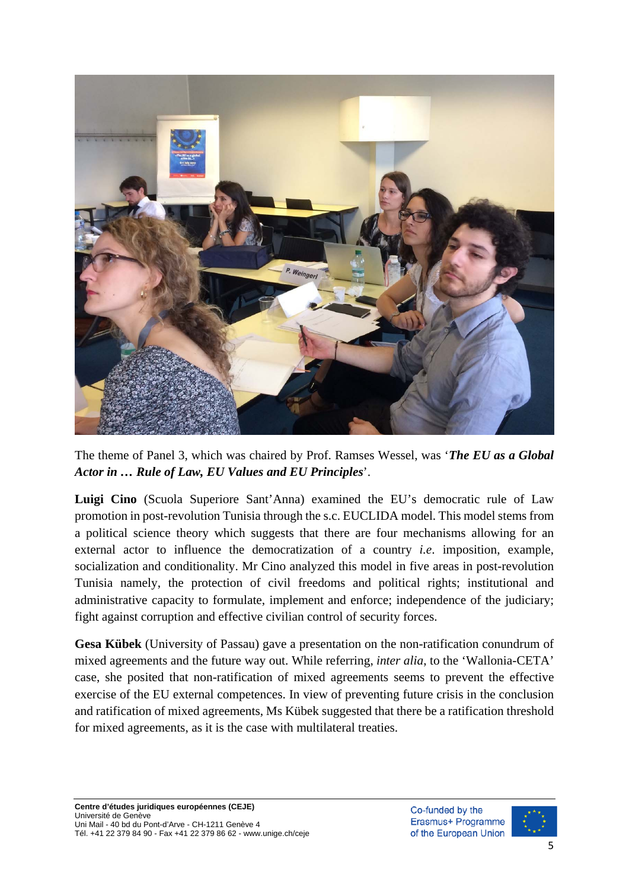

The theme of Panel 3, which was chaired by Prof. Ramses Wessel, was '*The EU as a Global Actor in … Rule of Law, EU Values and EU Principles*'.

**Luigi Cino** (Scuola Superiore Sant'Anna) examined the EU's democratic rule of Law promotion in post-revolution Tunisia through the s.c. EUCLIDA model. This model stems from a political science theory which suggests that there are four mechanisms allowing for an external actor to influence the democratization of a country *i.e*. imposition, example, socialization and conditionality. Mr Cino analyzed this model in five areas in post-revolution Tunisia namely, the protection of civil freedoms and political rights; institutional and administrative capacity to formulate, implement and enforce; independence of the judiciary; fight against corruption and effective civilian control of security forces.

**Gesa Kübek** (University of Passau) gave a presentation on the non-ratification conundrum of mixed agreements and the future way out. While referring, *inter alia*, to the 'Wallonia-CETA' case, she posited that non-ratification of mixed agreements seems to prevent the effective exercise of the EU external competences. In view of preventing future crisis in the conclusion and ratification of mixed agreements, Ms Kübek suggested that there be a ratification threshold for mixed agreements, as it is the case with multilateral treaties.

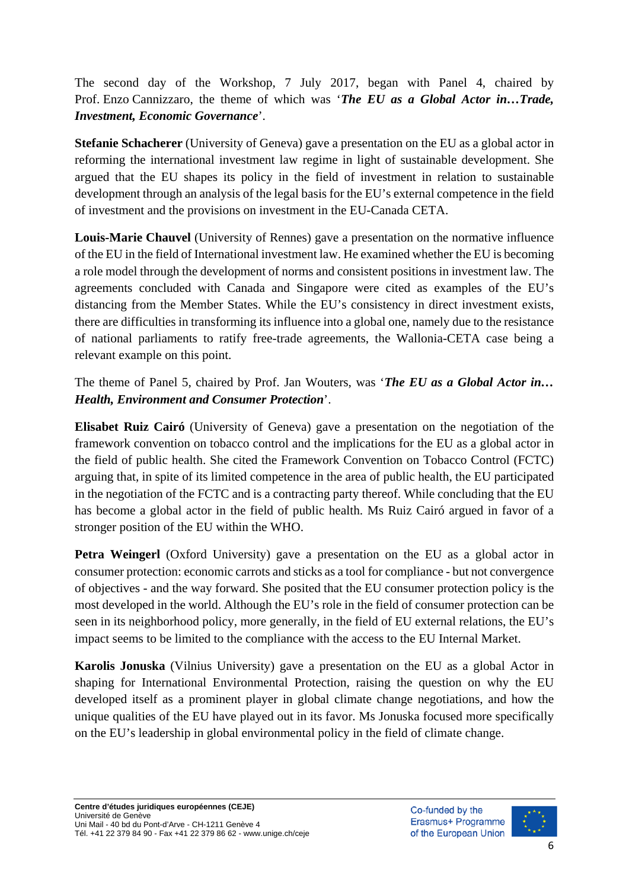The second day of the Workshop, 7 July 2017, began with Panel 4, chaired by Prof. Enzo Cannizzaro, the theme of which was '*The EU as a Global Actor in…Trade, Investment, Economic Governance*'.

**Stefanie Schacherer** (University of Geneva) gave a presentation on the EU as a global actor in reforming the international investment law regime in light of sustainable development. She argued that the EU shapes its policy in the field of investment in relation to sustainable development through an analysis of the legal basis for the EU's external competence in the field of investment and the provisions on investment in the EU-Canada CETA.

**Louis-Marie Chauvel** (University of Rennes) gave a presentation on the normative influence of the EU in the field of International investment law. He examined whether the EU is becoming a role model through the development of norms and consistent positions in investment law. The agreements concluded with Canada and Singapore were cited as examples of the EU's distancing from the Member States. While the EU's consistency in direct investment exists, there are difficulties in transforming its influence into a global one, namely due to the resistance of national parliaments to ratify free-trade agreements, the Wallonia-CETA case being a relevant example on this point.

The theme of Panel 5, chaired by Prof. Jan Wouters, was '*The EU as a Global Actor in… Health, Environment and Consumer Protection*'.

**Elisabet Ruiz Cairó** (University of Geneva) gave a presentation on the negotiation of the framework convention on tobacco control and the implications for the EU as a global actor in the field of public health. She cited the Framework Convention on Tobacco Control (FCTC) arguing that, in spite of its limited competence in the area of public health, the EU participated in the negotiation of the FCTC and is a contracting party thereof. While concluding that the EU has become a global actor in the field of public health. Ms Ruiz Cairó argued in favor of a stronger position of the EU within the WHO.

**Petra Weingerl** (Oxford University) gave a presentation on the EU as a global actor in consumer protection: economic carrots and sticks as a tool for compliance - but not convergence of objectives - and the way forward. She posited that the EU consumer protection policy is the most developed in the world. Although the EU's role in the field of consumer protection can be seen in its neighborhood policy, more generally, in the field of EU external relations, the EU's impact seems to be limited to the compliance with the access to the EU Internal Market.

**Karolis Jonuska** (Vilnius University) gave a presentation on the EU as a global Actor in shaping for International Environmental Protection, raising the question on why the EU developed itself as a prominent player in global climate change negotiations, and how the unique qualities of the EU have played out in its favor. Ms Jonuska focused more specifically on the EU's leadership in global environmental policy in the field of climate change.